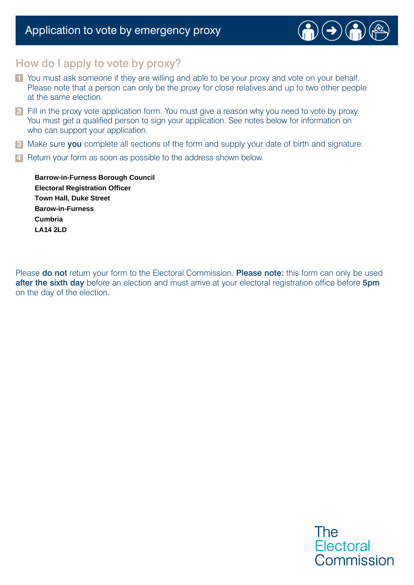# Application to vote by emergency proxy



## How do I apply to vote by proxy?

- **1** You must ask someone if they are willing and able to be your proxy and vote on your behalf. Please note that a person can only be the proxy for close relatives and up to two other people at the same election.
- **2** Fill in the proxy vote application form. You must give a reason why you need to vote by proxy. You must get a qualified person to sign your application. See notes below for information on who can support your application.
- **3** Make sure you complete all sections of the form and supply your date of birth and signature.
- **4** Return your form as soon as possible to the address shown below.

**LA14 2LD Town Hall, Duke Street Cumbria Barrow-in-Furness Borough Council Barow-in-Furness Electoral Registration Officer**

Please do not return your form to the Electoral Commission. Please note: this form can only be used after the sixth day before an election and must arrive at your electoral registration office before 5pm on the day of the election.

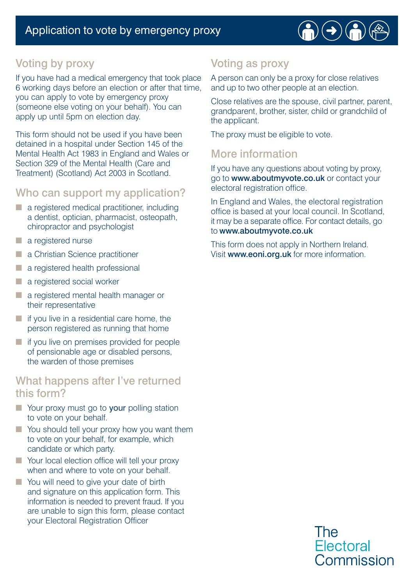

# Voting by proxy

If you have had a medical emergency that took place 6 working days before an election or after that time, you can apply to vote by emergency proxy (someone else voting on your behalf). You can apply up until 5pm on election day.

This form should not be used if you have been detained in a hospital under Section 145 of the Mental Health Act 1983 in England and Wales or Section 329 of the Mental Health (Care and Treatment) (Scotland) Act 2003 in Scotland.

### Who can support my application?

- a registered medical practitioner, including a dentist, optician, pharmacist, osteopath, chiropractor and psychologist
- a registered nurse
- a Christian Science practitioner
- a registered health professional
- a registered social worker
- a registered mental health manager or their representative
- $\blacksquare$  if you live in a residential care home, the person registered as running that home
- if you live on premises provided for people of pensionable age or disabled persons, the warden of those premises

#### What happens after I've returned this form?

- Your proxy must go to your polling station to vote on your behalf.
- You should tell your proxy how you want them to vote on your behalf, for example, which candidate or which party.
- Your local election office will tell your proxy when and where to vote on your behalf.
- You will need to give your date of birth and signature on this application form. This information is needed to prevent fraud. If you are unable to sign this form, please contact your Electoral Registration Officer

# Voting as proxy

A person can only be a proxy for close relatives and up to two other people at an election.

Close relatives are the spouse, civil partner, parent, grandparent, brother, sister, child or grandchild of the applicant.

The proxy must be eligible to vote.

## More information

If you have any questions about voting by proxy, go to www.aboutmyvote.co.uk or contact your electoral registration office.

In England and Wales, the electoral registration office is based at your local council. In Scotland, it may be a separate office. For contact details, go to www.aboutmyvote.co.uk

This form does not apply in Northern Ireland. Visit www.eoni.org.uk for more information.

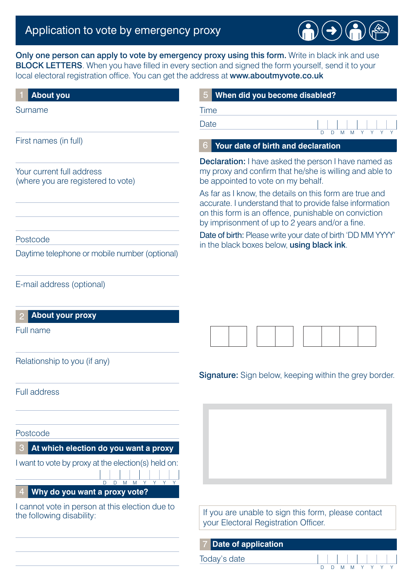# Application to vote by emergency proxy

Only one person can apply to vote by emergency proxy using this form. Write in black ink and use BLOCK LETTERS. When you have filled in every section and signed the form yourself, send it to your local electoral registration office. You can get the address at www.aboutmyvote.co.uk

| <b>About you</b>                                                             | When did you become disabled?                                                                                                                                                                                                  |    |  |  |  |  |  |  |
|------------------------------------------------------------------------------|--------------------------------------------------------------------------------------------------------------------------------------------------------------------------------------------------------------------------------|----|--|--|--|--|--|--|
| Surname                                                                      | Time                                                                                                                                                                                                                           |    |  |  |  |  |  |  |
|                                                                              | Date<br>Y<br>D<br>D<br>M<br>M                                                                                                                                                                                                  | Y. |  |  |  |  |  |  |
| First names (in full)                                                        | Your date of birth and declaration                                                                                                                                                                                             |    |  |  |  |  |  |  |
|                                                                              | <b>Declaration:</b> I have asked the person I have named as                                                                                                                                                                    |    |  |  |  |  |  |  |
| Your current full address<br>(where you are registered to vote)              | my proxy and confirm that he/she is willing and able to<br>be appointed to vote on my behalf.                                                                                                                                  |    |  |  |  |  |  |  |
|                                                                              | As far as I know, the details on this form are true and<br>accurate. I understand that to provide false information<br>on this form is an offence, punishable on conviction<br>by imprisonment of up to 2 years and/or a fine. |    |  |  |  |  |  |  |
| Postcode                                                                     | Date of birth: Please write your date of birth 'DD MM YYYY'                                                                                                                                                                    |    |  |  |  |  |  |  |
| Daytime telephone or mobile number (optional)                                | in the black boxes below, using black ink.                                                                                                                                                                                     |    |  |  |  |  |  |  |
| E-mail address (optional)                                                    |                                                                                                                                                                                                                                |    |  |  |  |  |  |  |
| <b>About your proxy</b>                                                      |                                                                                                                                                                                                                                |    |  |  |  |  |  |  |
| Full name                                                                    |                                                                                                                                                                                                                                |    |  |  |  |  |  |  |
| Relationship to you (if any)                                                 |                                                                                                                                                                                                                                |    |  |  |  |  |  |  |
|                                                                              | <b>Signature:</b> Sign below, keeping within the grey border.                                                                                                                                                                  |    |  |  |  |  |  |  |
| <b>Full address</b>                                                          |                                                                                                                                                                                                                                |    |  |  |  |  |  |  |
|                                                                              |                                                                                                                                                                                                                                |    |  |  |  |  |  |  |
| Postcode                                                                     |                                                                                                                                                                                                                                |    |  |  |  |  |  |  |
| At which election do you want a proxy                                        |                                                                                                                                                                                                                                |    |  |  |  |  |  |  |
| I want to vote by proxy at the election(s) held on:<br>D D M M Y Y Y Y       |                                                                                                                                                                                                                                |    |  |  |  |  |  |  |
| Why do you want a proxy vote?                                                |                                                                                                                                                                                                                                |    |  |  |  |  |  |  |
| I cannot vote in person at this election due to<br>the following disability: | If you are unable to sign this form, please contact<br>your Electoral Registration Officer.                                                                                                                                    |    |  |  |  |  |  |  |
|                                                                              | <b>Date of application</b>                                                                                                                                                                                                     |    |  |  |  |  |  |  |
|                                                                              |                                                                                                                                                                                                                                |    |  |  |  |  |  |  |

Today's date

D D M M

 $\rightarrow$